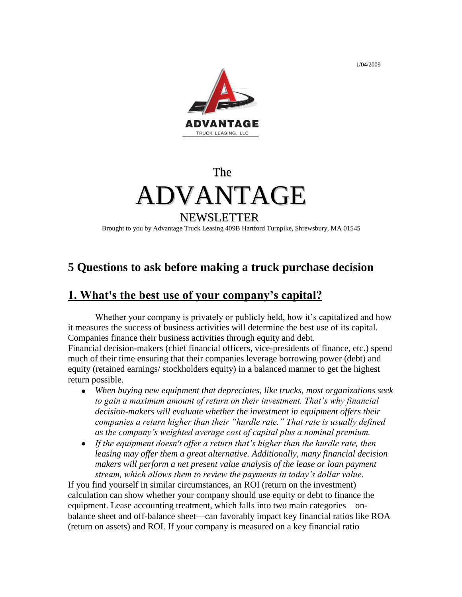1/04/2009



#### The

# ADVANTAGE

### NEWSLETTER

Brought to you by Advantage Truck Leasing 409B Hartford Turnpike, Shrewsbury, MA 01545

# **5 Questions to ask before making a truck purchase decision**

# **1. What's the best use of your company's capital?**

Whether your company is privately or publicly held, how it's capitalized and how it measures the success of business activities will determine the best use of its capital. Companies finance their business activities through equity and debt. Financial decision-makers (chief financial officers, vice-presidents of finance, etc.) spend much of their time ensuring that their companies leverage borrowing power (debt) and equity (retained earnings/ stockholders equity) in a balanced manner to get the highest return possible.

- *When buying new equipment that depreciates, like trucks, most organizations seek to gain a maximum amount of return on their investment. That's why financial decision-makers will evaluate whether the investment in equipment offers their companies a return higher than their "hurdle rate." That rate is usually defined as the company's weighted average cost of capital plus a nominal premium.*
- *If the equipment doesn't offer a return that's higher than the hurdle rate, then leasing may offer them a great alternative. Additionally, many financial decision makers will perform a net present value analysis of the lease or loan payment stream, which allows them to review the payments in today's dollar value*.

If you find yourself in similar circumstances, an ROI (return on the investment) calculation can show whether your company should use equity or debt to finance the equipment. Lease accounting treatment, which falls into two main categories—onbalance sheet and off-balance sheet—can favorably impact key financial ratios like ROA (return on assets) and ROI. If your company is measured on a key financial ratio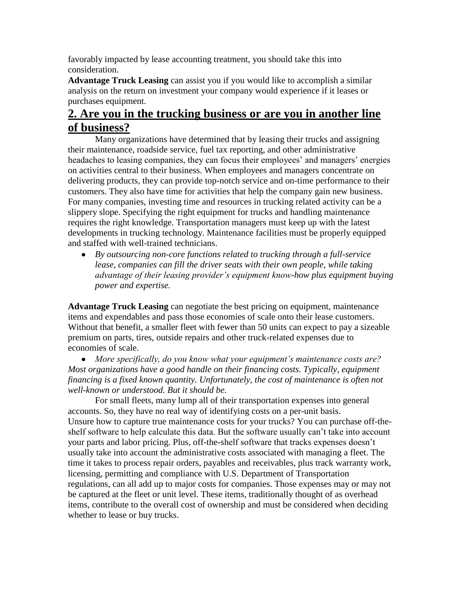favorably impacted by lease accounting treatment, you should take this into consideration.

**Advantage Truck Leasing** can assist you if you would like to accomplish a similar analysis on the return on investment your company would experience if it leases or purchases equipment.

# **2. Are you in the trucking business or are you in another line of business?**

Many organizations have determined that by leasing their trucks and assigning their maintenance, roadside service, fuel tax reporting, and other administrative headaches to leasing companies, they can focus their employees' and managers' energies on activities central to their business. When employees and managers concentrate on delivering products, they can provide top-notch service and on-time performance to their customers. They also have time for activities that help the company gain new business. For many companies, investing time and resources in trucking related activity can be a slippery slope. Specifying the right equipment for trucks and handling maintenance requires the right knowledge. Transportation managers must keep up with the latest developments in trucking technology. Maintenance facilities must be properly equipped and staffed with well-trained technicians.

*By outsourcing non-core functions related to trucking through a full-service lease, companies can fill the driver seats with their own people, while taking advantage of their leasing provider's equipment know-how plus equipment buying power and expertise.*

**Advantage Truck Leasing** can negotiate the best pricing on equipment, maintenance items and expendables and pass those economies of scale onto their lease customers. Without that benefit, a smaller fleet with fewer than 50 units can expect to pay a sizeable premium on parts, tires, outside repairs and other truck-related expenses due to economies of scale.

*More specifically, do you know what your equipment's maintenance costs are? Most organizations have a good handle on their financing costs. Typically, equipment financing is a fixed known quantity. Unfortunately, the cost of maintenance is often not well-known or understood. But it should be.*

For small fleets, many lump all of their transportation expenses into general accounts. So, they have no real way of identifying costs on a per-unit basis. Unsure how to capture true maintenance costs for your trucks? You can purchase off-theshelf software to help calculate this data. But the software usually can't take into account your parts and labor pricing. Plus, off-the-shelf software that tracks expenses doesn't usually take into account the administrative costs associated with managing a fleet. The time it takes to process repair orders, payables and receivables, plus track warranty work, licensing, permitting and compliance with U.S. Department of Transportation regulations, can all add up to major costs for companies. Those expenses may or may not be captured at the fleet or unit level. These items, traditionally thought of as overhead items, contribute to the overall cost of ownership and must be considered when deciding whether to lease or buy trucks.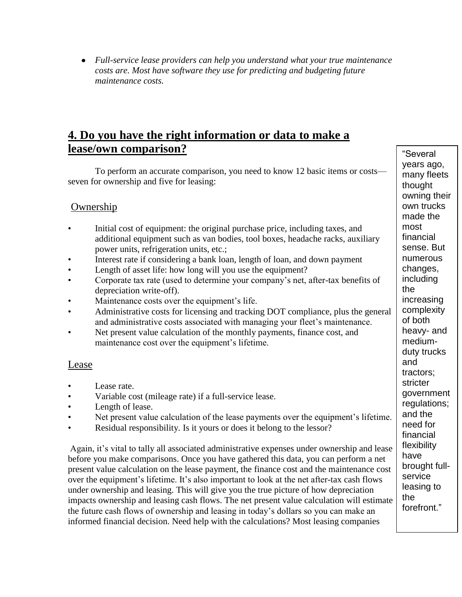*Full-service lease providers can help you understand what your true maintenance costs are. Most have software they use for predicting and budgeting future maintenance costs.*

#### **4. Do you have the right information or data to make a lease/own comparison?**

To perform an accurate comparison, you need to know 12 basic items or costs seven for ownership and five for leasing:

#### Ownership

- Initial cost of equipment: the original purchase price, including taxes, and additional equipment such as van bodies, tool boxes, headache racks, auxiliary power units, refrigeration units, etc.;
- Interest rate if considering a bank loan, length of loan, and down payment
- Length of asset life: how long will you use the equipment?
- Corporate tax rate (used to determine your company's net, after-tax benefits of depreciation write-off).
- Maintenance costs over the equipment's life.
- Administrative costs for licensing and tracking DOT compliance, plus the general and administrative costs associated with managing your fleet's maintenance.
- Net present value calculation of the monthly payments, finance cost, and maintenance cost over the equipment's lifetime.

#### Lease

- Lease rate.
- Variable cost (mileage rate) if a full-service lease.
- Length of lease.
- Net present value calculation of the lease payments over the equipment's lifetime.
- Residual responsibility. Is it yours or does it belong to the lessor?

Again, it's vital to tally all associated administrative expenses under ownership and lease before you make comparisons. Once you have gathered this data, you can perform a net present value calculation on the lease payment, the finance cost and the maintenance cost over the equipment's lifetime. It's also important to look at the net after-tax cash flows under ownership and leasing. This will give you the true picture of how depreciation impacts ownership and leasing cash flows. The net present value calculation will estimate the future cash flows of ownership and leasing in today's dollars so you can make an informed financial decision. Need help with the calculations? Most leasing companies

"Several years ago, many fleets thought owning their own trucks made the most financial sense. But numerous changes, including the increasing complexity of both heavy- and mediumduty trucks and tractors; stricter government regulations; and the need for financial flexibility have brought fullservice leasing to the forefront."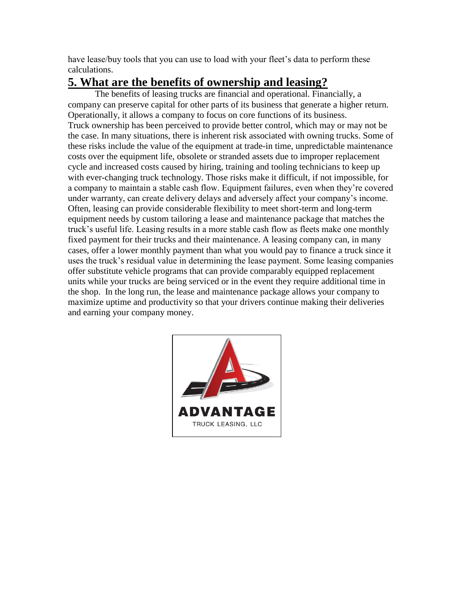have lease/buy tools that you can use to load with your fleet's data to perform these calculations.

# **5. What are the benefits of ownership and leasing?**

The benefits of leasing trucks are financial and operational. Financially, a company can preserve capital for other parts of its business that generate a higher return. Operationally, it allows a company to focus on core functions of its business. Truck ownership has been perceived to provide better control, which may or may not be the case. In many situations, there is inherent risk associated with owning trucks. Some of these risks include the value of the equipment at trade-in time, unpredictable maintenance costs over the equipment life, obsolete or stranded assets due to improper replacement cycle and increased costs caused by hiring, training and tooling technicians to keep up with ever-changing truck technology. Those risks make it difficult, if not impossible, for a company to maintain a stable cash flow. Equipment failures, even when they're covered under warranty, can create delivery delays and adversely affect your company's income. Often, leasing can provide considerable flexibility to meet short-term and long-term equipment needs by custom tailoring a lease and maintenance package that matches the truck's useful life. Leasing results in a more stable cash flow as fleets make one monthly fixed payment for their trucks and their maintenance. A leasing company can, in many cases, offer a lower monthly payment than what you would pay to finance a truck since it uses the truck's residual value in determining the lease payment. Some leasing companies offer substitute vehicle programs that can provide comparably equipped replacement units while your trucks are being serviced or in the event they require additional time in the shop. In the long run, the lease and maintenance package allows your company to maximize uptime and productivity so that your drivers continue making their deliveries and earning your company money.